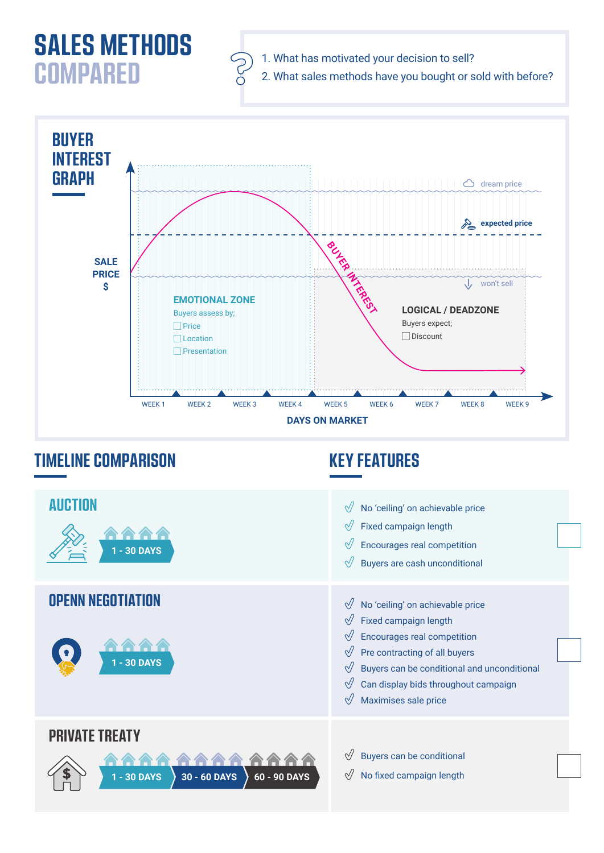## **SALES METHODS COMPARED**





## **TIMELINE COMPARISON KEY FEATURES**